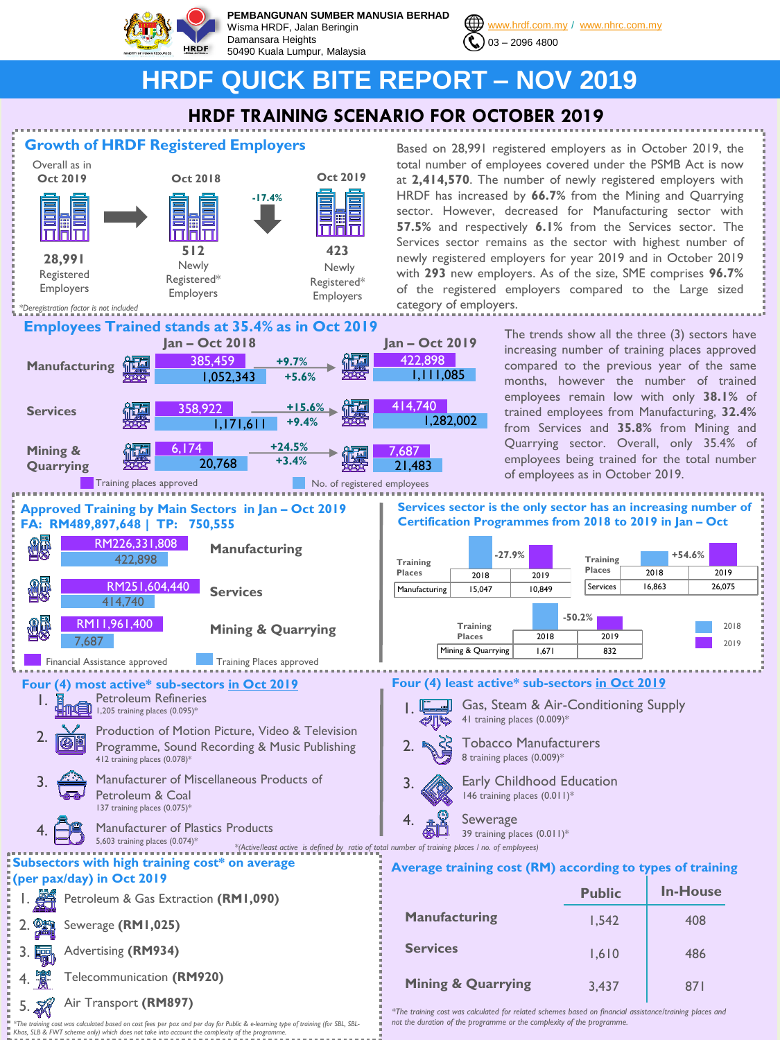

**PEMBANGUNAN SUMBER MANUSIA BERHAD** Wisma HRDF, Jalan Beringin Damansara Heights 50490 Kuala Lumpur, Malaysia



[www.hrdf.com.my](http://www.hrdf.com.my/) / [www.nhrc.com.my](http://www.nhrc.com.my/)

# **HRDF QUICK BITE REPORT – NOV 2019**

# **HRDF TRAINING SCENARIO FOR OCTOBER 2019**



*\*The training cost was calculated based on cost fees per pax and per day for Public & e-learning type of training (for SBL, SBL-Khas, SLB & FWT scheme only) which does not take into account the complexity of the programme.* 

Based on 28,991 registered employers as in October 2019, the total number of employees covered under the PSMB Act is now at **2,414,570**. The number of newly registered employers with HRDF has increased by **66.7%** from the Mining and Quarrying sector. However, decreased for Manufacturing sector with **57.5%** and respectively **6.1%** from the Services sector. The Services sector remains as the sector with highest number of newly registered employers for year 2019 and in October 2019 with **293** new employers. As of the size, SME comprises **96.7%** of the registered employers compared to the Large sized category of employers.

> The trends show all the three (3) sectors have increasing number of training places approved compared to the previous year of the same months, however the number of trained employees remain low with only **38.1%** of trained employees from Manufacturing, **32.4%** from Services and **35.8%** from Mining and Quarrying sector. Overall, only 35.4% of employees being trained for the total number of employees as in October 2019.

**Services sector is the only sector has an increasing number of Certification Programmes from 2018 to 2019 in Jan – Oct**



Gas, Steam & Air-Conditioning Supply 41 training places (0.009)\*

- Tobacco Manufacturers 8 training places (0.009)\*
	- Early Childhood Education
	- 146 training places (0.011)\*
	- Sewerage 39 training places (0.011)\*
- 

### **Average training cost (RM) according to types of training**

|                               | <b>Public</b> | <b>In-House</b> |
|-------------------------------|---------------|-----------------|
| <b>Manufacturing</b>          | 1,542         | 408             |
| <b>Services</b>               | 1,610         | 486             |
| <b>Mining &amp; Quarrying</b> | 3,437         | 871             |

*\*The training cost was calculated for related schemes based on financial assistance/training places and not the duration of the programme or the complexity of the programme.*